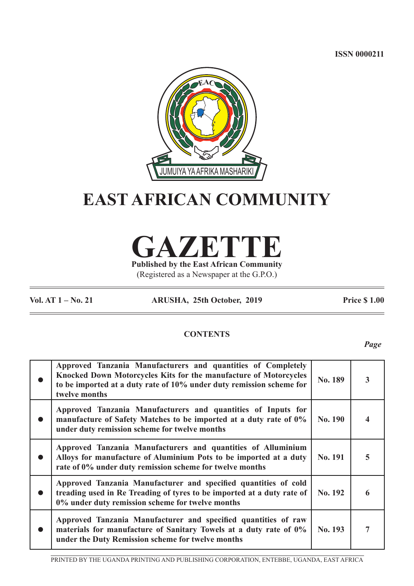**ISSN 0000211**



# **EAST AFRICAN COMMUNITY**

**GAZETTE Published by the East African Community**

(Registered as a Newspaper at the G.P.O.)

**Vol. AT 1 – No. 21 ARUSHA, 25th October, 2019 Price \$ 1.00**

# **CONTENTS**

*Page*

| Approved Tanzania Manufacturers and quantities of Completely<br>Knocked Down Motorcycles Kits for the manufacture of Motorcycles<br>to be imported at a duty rate of 10% under duty remission scheme for<br>twelve months | No. 189        |  |
|---------------------------------------------------------------------------------------------------------------------------------------------------------------------------------------------------------------------------|----------------|--|
| Approved Tanzania Manufacturers and quantities of Inputs for<br>manufacture of Safety Matches to be imported at a duty rate of 0%<br>under duty remission scheme for twelve months                                        | No. 190        |  |
| Approved Tanzania Manufacturers and quantities of Alluminium<br>Alloys for manufacture of Aluminium Pots to be imported at a duty<br>rate of 0% under duty remission scheme for twelve months                             | <b>No. 191</b> |  |
| Approved Tanzania Manufacturer and specified quantities of cold<br>treading used in Re Treading of tyres to be imported at a duty rate of<br>0% under duty remission scheme for twelve months                             | No. 192        |  |
| Approved Tanzania Manufacturer and specified quantities of raw<br>materials for manufacture of Sanitary Towels at a duty rate of 0%<br>under the Duty Remission scheme for twelve months                                  | <b>No. 193</b> |  |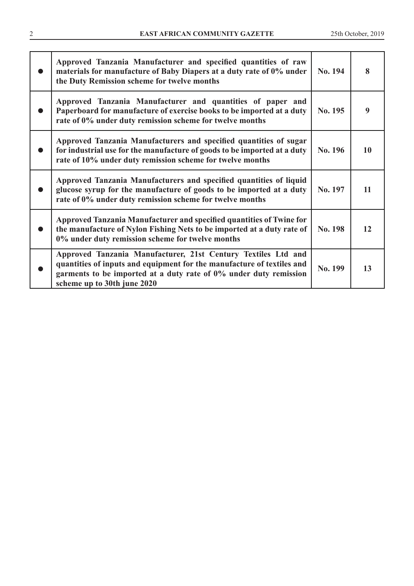| Approved Tanzania Manufacturer and specified quantities of raw<br>materials for manufacture of Baby Diapers at a duty rate of 0% under<br>the Duty Remission scheme for twelve months                                                       | No. 194 | 8  |
|---------------------------------------------------------------------------------------------------------------------------------------------------------------------------------------------------------------------------------------------|---------|----|
| Approved Tanzania Manufacturer and quantities of paper and<br>Paperboard for manufacture of exercise books to be imported at a duty<br>rate of 0% under duty remission scheme for twelve months                                             | No. 195 | 9  |
| Approved Tanzania Manufacturers and specified quantities of sugar<br>for industrial use for the manufacture of goods to be imported at a duty<br>rate of 10% under duty remission scheme for twelve months                                  | No. 196 | 10 |
| Approved Tanzania Manufacturers and specified quantities of liquid<br>glucose syrup for the manufacture of goods to be imported at a duty<br>rate of 0% under duty remission scheme for twelve months                                       | No. 197 | 11 |
| Approved Tanzania Manufacturer and specified quantities of Twine for<br>the manufacture of Nylon Fishing Nets to be imported at a duty rate of<br>0% under duty remission scheme for twelve months                                          | No. 198 | 12 |
| Approved Tanzania Manufacturer, 21st Century Textiles Ltd and<br>quantities of inputs and equipment for the manufacture of textiles and<br>garments to be imported at a duty rate of 0% under duty remission<br>scheme up to 30th june 2020 | No. 199 | 13 |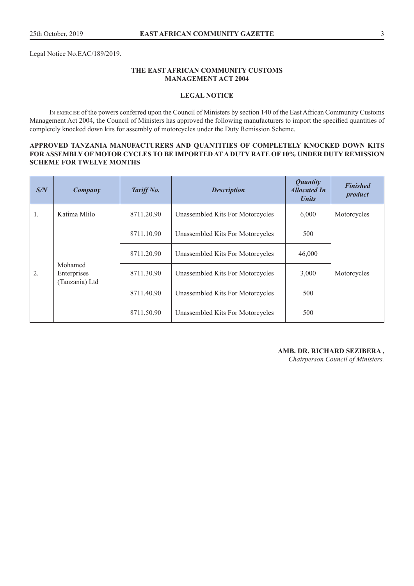Legal Notice No.EAC/189/2019.

#### **THE EAST AFRICAN COMMUNITY CUSTOMS MANAGEMENT ACT 2004**

#### **LEGAL NOTICE**

In exercise of the powers conferred upon the Council of Ministers by section 140 of the East African Community Customs Management Act 2004, the Council of Ministers has approved the following manufacturers to import the specified quantities of completely knocked down kits for assembly of motorcycles under the Duty Remission Scheme.

#### **APPROVED TANZANIA MANUFACTURERS AND QUANTITIES OF COMPLETELY KNOCKED DOWN KITS FOR ASSEMBLY OF MOTOR CYCLES TO BE IMPORTED AT A DUTY RATE OF 10% UNDER DUTY REMISSION SCHEME FOR TWELVE MONTHS**

| S/N | Company                                  | Tariff No. | <b>Description</b>               | <i>Quantity</i><br><b>Allocated In</b><br><b><i>Units</i></b> | <b>Finished</b><br>product |
|-----|------------------------------------------|------------|----------------------------------|---------------------------------------------------------------|----------------------------|
| 1.  | Katima Mlilo                             | 8711.20.90 | Unassembled Kits For Motorcycles | 6,000                                                         | Motorcycles                |
|     | Mohamed<br>Enterprises<br>(Tanzania) Ltd | 8711.10.90 | Unassembled Kits For Motorcycles | 500                                                           |                            |
|     |                                          | 8711.20.90 | Unassembled Kits For Motorcycles | 46,000                                                        |                            |
| 2.  |                                          | 8711.30.90 | Unassembled Kits For Motorcycles | 3,000                                                         | Motorcycles                |
|     |                                          | 8711.40.90 | Unassembled Kits For Motorcycles | 500                                                           |                            |
|     |                                          | 8711.50.90 | Unassembled Kits For Motorcycles | 500                                                           |                            |

#### **AMB. DR. RICHARD SEZIBERA ,**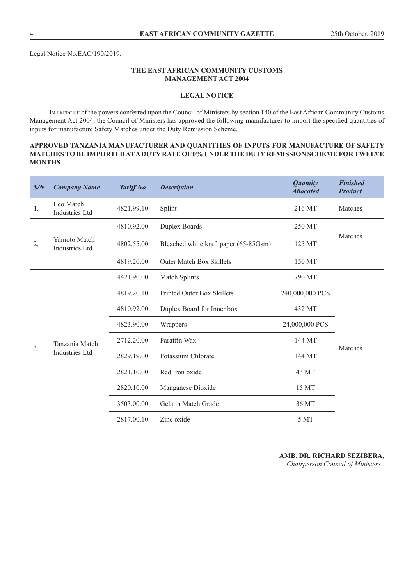#### **LEGAL NOTICE**

In exercise of the powers conferred upon the Council of Ministers by section 140 of the East African Community Customs Management Act 2004, the Council of Ministers has approved the following manufacturer to import the specified quantities of inputs for manufacture Safety Matches under the Duty Remission Scheme.

### **APPROVED TANZANIA MANUFACTURER AND QUANTITIES OF INPUTS FOR MANUFACTURE OF SAFETY MATCHES TO BE IMPORTED AT A DUTY RATE OF 0% UNDER THE DUTY REMISSION SCHEME FOR TWELVE MONTHS**

| S/N | <b>Company Name</b>                   | <b>Tariff No</b> | <b>Description</b>                    | <b>Quantity</b><br><b>Allocated</b> | <b>Finished</b><br><b>Product</b> |
|-----|---------------------------------------|------------------|---------------------------------------|-------------------------------------|-----------------------------------|
| 1.  | Leo Match<br><b>Industries Ltd</b>    | 4821.99.10       | Splint                                | 216 MT                              | Matches                           |
|     |                                       | 4810.92.00       | Duplex Boards                         | 250 MT                              |                                   |
| 2.  | Yamoto Match<br><b>Industries Ltd</b> | 4802.55.00       | Bleached white kraft paper (65-85Gsm) | 125 MT                              | Matches                           |
|     |                                       | 4819.20.00       | <b>Outer Match Box Skillets</b>       | 150 MT                              |                                   |
|     |                                       | 4421.90.00       | Match Splints                         | 790 MT                              |                                   |
|     |                                       | 4819.20.10       | <b>Printed Outer Box Skillets</b>     | 240,000,000 PCS                     |                                   |
|     |                                       | 4810.92.00       | Duplex Board for Inner box            | 432 MT                              |                                   |
|     |                                       | 4823.90.00       | Wrappers                              | 24,000,000 PCS                      |                                   |
| 3.  | Tanzania Match                        | 2712.20.00       | Paraffin Wax                          | 144 MT                              | Matches                           |
|     | <b>Industries Ltd</b>                 | 2829.19.00       | Potassium Chlorate                    | 144 MT                              |                                   |
|     |                                       | 2821.10.00       | Red Iron oxide                        | 43 MT                               |                                   |
|     |                                       | 2820.10.00       | Manganese Dioxide                     | 15 MT                               |                                   |
|     |                                       | 3503.00.00       | Gelatin Match Grade                   | 36 MT                               |                                   |
|     |                                       | 2817.00.10       | Zinc oxide                            | 5 MT                                |                                   |

# **AMB. DR. RICHARD SEZIBERA,**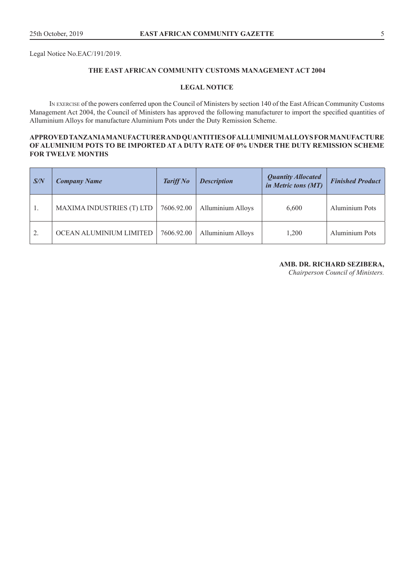Legal Notice No.EAC/191/2019.

### **THE EAST AFRICAN COMMUNITY CUSTOMS MANAGEMENT ACT 2004**

#### **LEGAL NOTICE**

In exercise of the powers conferred upon the Council of Ministers by section 140 of the East African Community Customs Management Act 2004, the Council of Ministers has approved the following manufacturer to import the specified quantities of Alluminium Alloys for manufacture Aluminium Pots under the Duty Remission Scheme.

#### **APPROVED TANZANIA MANUFACTURER AND QUANTITIES OF ALLUMINIUM ALLOYS FOR MANUFACTURE OF ALUMINIUM POTS TO BE IMPORTED AT A DUTY RATE OF 0% UNDER THE DUTY REMISSION SCHEME FOR TWELVE MONTHS**

| $\mathsf{S/N}$ | <b>Company Name</b>              | <b>Tariff No</b> | <b>Description</b>       | <b>Quantity Allocated</b><br>in Metric tons (MT) | <b>Finished Product</b> |
|----------------|----------------------------------|------------------|--------------------------|--------------------------------------------------|-------------------------|
|                | <b>MAXIMA INDUSTRIES (T) LTD</b> | 7606.92.00       | <b>Alluminium Alloys</b> | 6,600                                            | <b>Aluminium Pots</b>   |
|                | OCEAN ALUMINIUM LIMITED          | 7606.92.00       | <b>Alluminium Alloys</b> | 1.200                                            | <b>Aluminium Pots</b>   |

#### **AMB. DR. RICHARD SEZIBERA,**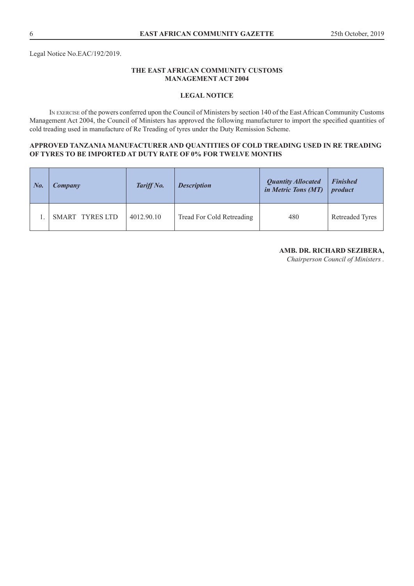#### **LEGAL NOTICE**

In exercise of the powers conferred upon the Council of Ministers by section 140 of the East African Community Customs Management Act 2004, the Council of Ministers has approved the following manufacturer to import the specified quantities of cold treading used in manufacture of Re Treading of tyres under the Duty Remission Scheme.

#### **APPROVED TANZANIA MANUFACTURER AND QUANTITIES OF COLD TREADING USED IN RE TREADING OF TYRES TO BE IMPORTED AT DUTY RATE OF 0% FOR TWELVE MONTHS**

| $\mid$ No. | Company         | Tariff No. | <b>Description</b>        | <b>Quantity Allocated</b><br>in Metric Tons (MT) | <b>Finished</b><br>product |
|------------|-----------------|------------|---------------------------|--------------------------------------------------|----------------------------|
|            | SMART TYRES LTD | 4012.90.10 | Tread For Cold Retreading | 480                                              | <b>Retreaded Tyres</b>     |

# **AMB. DR. RICHARD SEZIBERA,**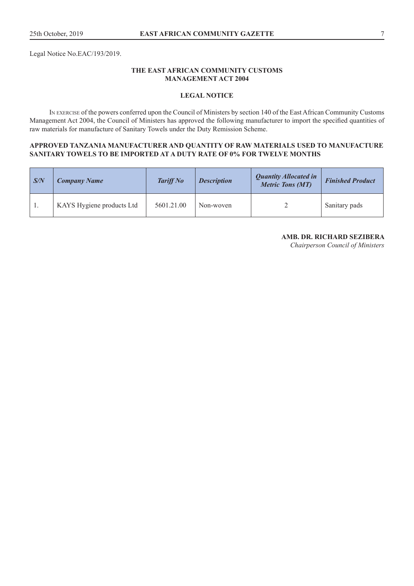Legal Notice No.EAC/193/2019.

#### **THE EAST AFRICAN COMMUNITY CUSTOMS MANAGEMENT ACT 2004**

#### **LEGAL NOTICE**

In exercise of the powers conferred upon the Council of Ministers by section 140 of the East African Community Customs Management Act 2004, the Council of Ministers has approved the following manufacturer to import the specified quantities of raw materials for manufacture of Sanitary Towels under the Duty Remission Scheme.

#### **APPROVED TANZANIA MANUFACTURER AND QUANTITY OF RAW MATERIALS USED TO MANUFACTURE SANITARY TOWELS TO BE IMPORTED AT A DUTY RATE OF 0% FOR TWELVE MONTHS**

| S/N | <b>Company Name</b>       | <b>Tariff No</b> | <b>Description</b> | <b>Quantity Allocated in</b><br><b>Metric Tons (MT)</b> | <b>Finished Product</b> |
|-----|---------------------------|------------------|--------------------|---------------------------------------------------------|-------------------------|
|     | KAYS Hygiene products Ltd | 5601.21.00       | Non-woven          |                                                         | Sanitary pads           |

# **AMB. DR. RICHARD SEZIBERA**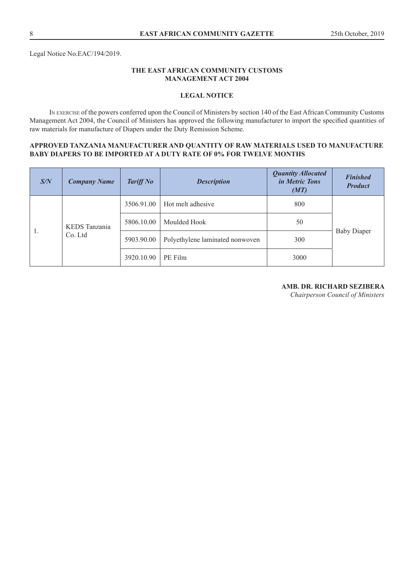### **LEGAL NOTICE**

In exercise of the powers conferred upon the Council of Ministers by section 140 of the East African Community Customs Management Act 2004, the Council of Ministers has approved the following manufacturer to import the specified quantities of raw materials for manufacture of Diapers under the Duty Remission Scheme.

#### **APPROVED TANZANIA MANUFACTURER AND QUANTITY OF RAW MATERIALS USED TO MANUFACTURE BABY DIAPERS TO BE IMPORTED AT A DUTY RATE OF 0% FOR TWELVE MONTHS**

| S/N | <b>Company Name</b>      | <b>Tariff No</b> | <b>Description</b>              | <b>Quantity Allocated</b><br><i>in Metric Tons</i><br>(MT) | <b>Finished</b><br><b>Product</b> |
|-----|--------------------------|------------------|---------------------------------|------------------------------------------------------------|-----------------------------------|
|     | KEDS Tanzania<br>Co. Ltd | 3506.91.00       | Hot melt adhesive               | 800                                                        |                                   |
|     |                          | 5806.10.00       | Moulded Hook                    | 50                                                         |                                   |
| 1.  |                          | 5903.90.00       | Polyethylene laminated nonwoven | 300                                                        | <b>Baby Diaper</b>                |
|     |                          | 3920.10.90       | PE Film                         | 3000                                                       |                                   |

### **AMB. DR. RICHARD SEZIBERA**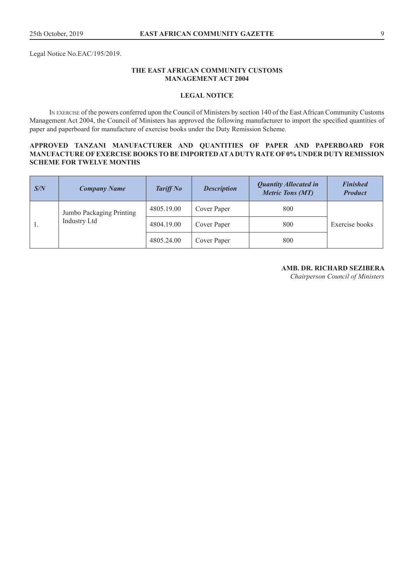Legal Notice No.EAC/195/2019.

#### **THE EAST AFRICAN COMMUNITY CUSTOMS MANAGEMENT ACT 2004**

#### **LEGAL NOTICE**

In exercise of the powers conferred upon the Council of Ministers by section 140 of the East African Community Customs Management Act 2004, the Council of Ministers has approved the following manufacturer to import the specified quantities of paper and paperboard for manufacture of exercise books under the Duty Remission Scheme.

#### **APPROVED TANZANI MANUFACTURER AND QUANTITIES OF PAPER AND PAPERBOARD FOR MANUFACTURE OF EXERCISE BOOKS TO BE IMPORTED AT A DUTY RATE OF 0% UNDER DUTY REMISSION SCHEME FOR TWELVE MONTHS**

| S/N | <b>Company Name</b>      | <b>Tariff No</b> | <b>Description</b> | <b>Quantity Allocated in</b><br><b>Metric Tons (MT)</b> | <b>Finished</b><br><b>Product</b> |
|-----|--------------------------|------------------|--------------------|---------------------------------------------------------|-----------------------------------|
|     | Jumbo Packaging Printing | 4805.19.00       | Cover Paper        | 800                                                     |                                   |
|     | <b>Industry Ltd</b>      | 4804.19.00       | Cover Paper        | 800                                                     | Exercise books                    |
|     |                          | 4805.24.00       | Cover Paper        | 800                                                     |                                   |

#### **AMB. DR. RICHARD SEZIBERA**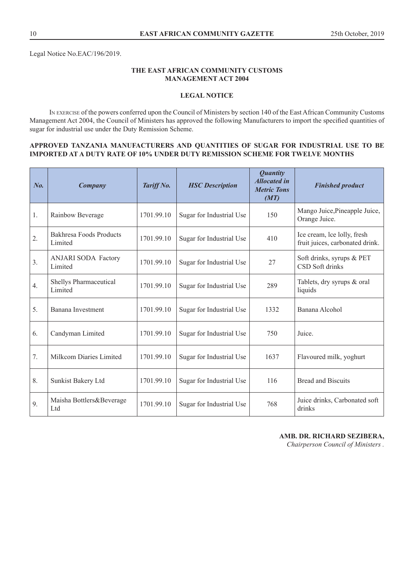Legal Notice No.EAC/196/2019.

#### **THE EAST AFRICAN COMMUNITY CUSTOMS MANAGEMENT ACT 2004**

# **LEGAL NOTICE**

In exercise of the powers conferred upon the Council of Ministers by section 140 of the East African Community Customs Management Act 2004, the Council of Ministers has approved the following Manufacturers to import the specified quantities of sugar for industrial use under the Duty Remission Scheme.

#### **APPROVED TANZANIA MANUFACTURERS AND QUANTITIES OF SUGAR FOR INDUSTRIAL USE TO BE IMPORTED AT A DUTY RATE OF 10% UNDER DUTY REMISSION SCHEME FOR TWELVE MONTHS**

| $N_{0}$ | Company                               | Tariff No. | <b>HSC</b> Description   | <b>Quantity</b><br><b>Allocated in</b><br><b>Metric Tons</b><br>(MT) | <b>Finished product</b>                                        |
|---------|---------------------------------------|------------|--------------------------|----------------------------------------------------------------------|----------------------------------------------------------------|
| 1.      | Rainbow Beverage                      | 1701.99.10 | Sugar for Industrial Use | 150                                                                  | Mango Juice, Pineapple Juice,<br>Orange Juice.                 |
| 2.      | Bakhresa Foods Products<br>Limited    | 1701.99.10 | Sugar for Industrial Use | 410                                                                  | Ice cream, Ice lolly, fresh<br>fruit juices, carbonated drink. |
| 3.      | <b>ANJARI SODA Factory</b><br>Limited | 1701.99.10 | Sugar for Industrial Use | 27                                                                   | Soft drinks, syrups & PET<br>CSD Soft drinks                   |
| 4.      | Shellys Pharmaceutical<br>Limited     | 1701.99.10 | Sugar for Industrial Use | 289                                                                  | Tablets, dry syrups & oral<br>liquids                          |
| 5.      | Banana Investment                     | 1701.99.10 | Sugar for Industrial Use | 1332                                                                 | Banana Alcohol                                                 |
| 6.      | Candyman Limited                      | 1701.99.10 | Sugar for Industrial Use | 750                                                                  | Juice.                                                         |
| 7.      | Milkcom Diaries Limited               | 1701.99.10 | Sugar for Industrial Use | 1637                                                                 | Flavoured milk, yoghurt                                        |
| 8.      | Sunkist Bakery Ltd                    | 1701.99.10 | Sugar for Industrial Use | 116                                                                  | <b>Bread and Biscuits</b>                                      |
| 9.      | Maisha Bottlers&Beverage<br>Ltd       | 1701.99.10 | Sugar for Industrial Use | 768                                                                  | Juice drinks, Carbonated soft<br>drinks                        |

**AMB. DR. RICHARD SEZIBERA,**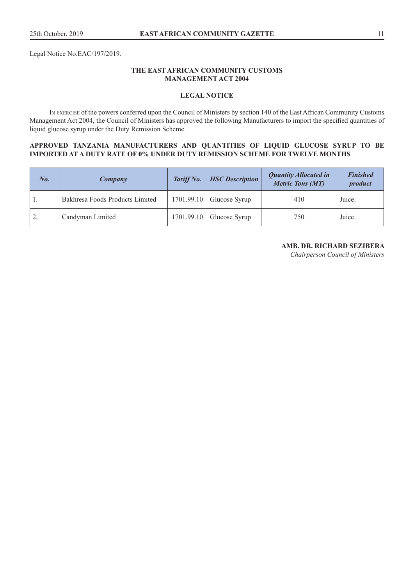Legal Notice No.EAC/197/2019.

#### **THE EAST AFRICAN COMMUNITY CUSTOMS MANAGEMENT ACT 2004**

#### **LEGAL NOTICE**

In exercise of the powers conferred upon the Council of Ministers by section 140 of the East African Community Customs Management Act 2004, the Council of Ministers has approved the following Manufacturers to import the specified quantities of liquid glucose syrup under the Duty Remission Scheme.

#### **APPROVED TANZANIA MANUFACTURERS AND QUANTITIES OF LIQUID GLUCOSE SYRUP TO BE IMPORTED AT A DUTY RATE OF 0% UNDER DUTY REMISSION SCHEME FOR TWELVE MONTHS**

| $N_{0.}$ | Company                         | Tariff No. | <b>HSC</b> Description | <b>Quantity Allocated in</b><br><b>Metric Tons (MT)</b> | <b>Finished</b><br>product |
|----------|---------------------------------|------------|------------------------|---------------------------------------------------------|----------------------------|
|          | Bakhresa Foods Products Limited | 1701.99.10 | Glucose Syrup          | 410                                                     | Juice.                     |
| 2.       | Candyman Limited                | 1701.99.10 | Glucose Syrup          | 750                                                     | Juice.                     |

#### **AMB. DR. RICHARD SEZIBERA**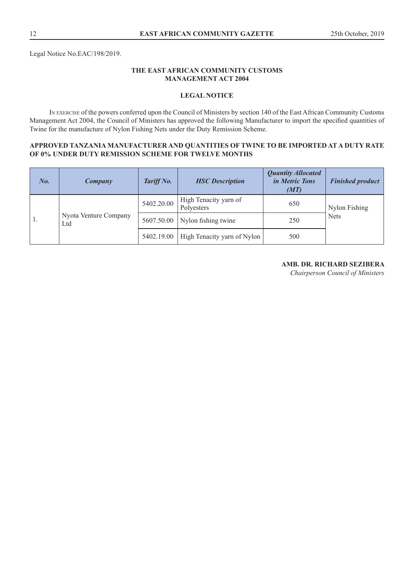### **LEGAL NOTICE**

In exercise of the powers conferred upon the Council of Ministers by section 140 of the East African Community Customs Management Act 2004, the Council of Ministers has approved the following Manufacturer to import the specified quantities of Twine for the manufacture of Nylon Fishing Nets under the Duty Remission Scheme.

#### **APPROVED TANZANIA MANUFACTURER AND QUANTITIES OF TWINE TO BE IMPORTED AT A DUTY RATE OF 0% UNDER DUTY REMISSION SCHEME FOR TWELVE MONTHS**

| $N_{0.}$ | Company                      | Tariff No. | <b>HSC</b> Description              | <b>Quantity Allocated</b><br><i>in Metric Tons</i><br>(MT) | <b>Finished product</b> |
|----------|------------------------------|------------|-------------------------------------|------------------------------------------------------------|-------------------------|
|          |                              | 5402.20.00 | High Tenacity yarn of<br>Polyesters | 650                                                        | Nylon Fishing           |
| 1.       | Nyota Venture Company<br>Ltd | 5607.50.00 | Nylon fishing twine                 | 250                                                        | <b>Nets</b>             |
|          |                              | 5402.19.00 | High Tenacity yarn of Nylon         | 500                                                        |                         |

# **AMB. DR. RICHARD SEZIBERA**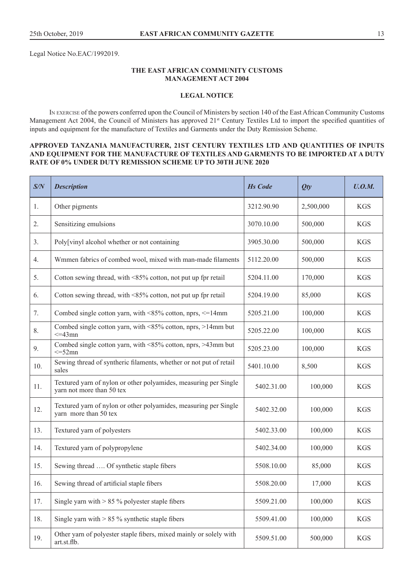Legal Notice No.EAC/1992019.

#### **THE EAST AFRICAN COMMUNITY CUSTOMS MANAGEMENT ACT 2004**

#### **LEGAL NOTICE**

In exercise of the powers conferred upon the Council of Ministers by section 140 of the East African Community Customs Management Act 2004, the Council of Ministers has approved 21<sup>st</sup> Century Textiles Ltd to import the specified quantities of inputs and equipment for the manufacture of Textiles and Garments under the Duty Remission Scheme.

#### **APPROVED TANZANIA MANUFACTURER, 21ST CENTURY TEXTILES LTD AND QUANTITIES OF INPUTS AND EQUIPMENT FOR THE MANUFACTURE OF TEXTILES AND GARMENTS TO BE IMPORTED AT A DUTY RATE OF 0% UNDER DUTY REMISSION SCHEME UP TO 30TH JUNE 2020**

| S/N | <b>Description</b>                                                                            | <b>Hs Code</b> | Qty       | U. O.M.    |
|-----|-----------------------------------------------------------------------------------------------|----------------|-----------|------------|
| 1.  | Other pigments                                                                                | 3212.90.90     | 2,500,000 | <b>KGS</b> |
| 2.  | Sensitizing emulsions                                                                         | 3070.10.00     | 500,000   | <b>KGS</b> |
| 3.  | Poly[vinyl alcohol whether or not containing                                                  | 3905.30.00     | 500,000   | <b>KGS</b> |
| 4.  | Wmmen fabrics of combed wool, mixed with man-made filaments                                   | 5112.20.00     | 500,000   | <b>KGS</b> |
| 5.  | Cotton sewing thread, with <85% cotton, not put up fpr retail                                 | 5204.11.00     | 170,000   | <b>KGS</b> |
| 6.  | Cotton sewing thread, with <85% cotton, not put up fpr retail                                 | 5204.19.00     | 85,000    | <b>KGS</b> |
| 7.  | Combed single cotton yarn, with $\leq$ 85% cotton, nprs, $\leq$ =14mm                         | 5205.21.00     | 100,000   | <b>KGS</b> |
| 8.  | Combed single cotton yarn, with $\leq 85\%$ cotton, nprs, $>14$ mm but<br>$\leq$ =43mn        | 5205.22.00     | 100,000   | <b>KGS</b> |
| 9.  | Combed single cotton yarn, with <85% cotton, nprs, >43mm but<br>$\leq$ =52mn                  | 5205.23.00     | 100,000   | <b>KGS</b> |
| 10. | Sewing thread of syntheric filaments, whether or not put of retail<br>sales                   | 5401.10.00     | 8,500     | <b>KGS</b> |
| 11. | Textured yarn of nylon or other polyamides, measuring per Single<br>yarn not more than 50 tex | 5402.31.00     | 100,000   | <b>KGS</b> |
| 12. | Textured yarn of nylon or other polyamides, measuring per Single<br>yarn more than 50 tex     | 5402.32.00     | 100,000   | <b>KGS</b> |
| 13. | Textured yarn of polyesters                                                                   | 5402.33.00     | 100,000   | <b>KGS</b> |
| 14. | Textured yarn of polypropylene                                                                | 5402.34.00     | 100,000   | <b>KGS</b> |
| 15. | Sewing thread  Of synthetic staple fibers                                                     | 5508.10.00     | 85,000    | <b>KGS</b> |
| 16. | Sewing thread of artificial staple fibers                                                     | 5508.20.00     | 17,000    | <b>KGS</b> |
| 17. | Single yarn with $> 85 \%$ polyester staple fibers                                            | 5509.21.00     | 100,000   | <b>KGS</b> |
| 18. | Single yarn with $> 85 \%$ synthetic staple fibers                                            | 5509.41.00     | 100,000   | <b>KGS</b> |
| 19. | Other yarn of polyester staple fibers, mixed mainly or solely with<br>art.st.flb.             | 5509.51.00     | 500,000   | <b>KGS</b> |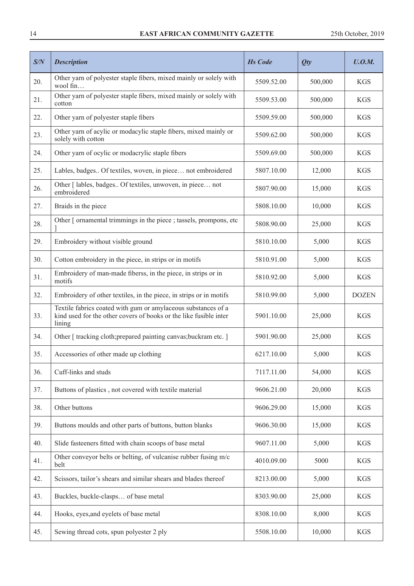#### 14 **EAST AFRICAN COMMUNITY GAZETTE** 25th October, 2019

| S/N | <b>Description</b>                                                                                                                           | <b>Hs</b> Code | Qty     | U.0.M.       |
|-----|----------------------------------------------------------------------------------------------------------------------------------------------|----------------|---------|--------------|
| 20. | Other yarn of polyester staple fibers, mixed mainly or solely with<br>wool fin                                                               | 5509.52.00     | 500,000 | <b>KGS</b>   |
| 21. | Other yarn of polyester staple fibers, mixed mainly or solely with<br>cotton                                                                 | 5509.53.00     | 500,000 | <b>KGS</b>   |
| 22. | Other yarn of polyester staple fibers                                                                                                        | 5509.59.00     | 500,000 | <b>KGS</b>   |
| 23. | Other yarn of acylic or modacylic staple fibers, mixed mainly or<br>solely with cotton                                                       | 5509.62.00     | 500,000 | <b>KGS</b>   |
| 24. | Other yarn of ocylic or modacrylic staple fibers                                                                                             | 5509.69.00     | 500,000 | <b>KGS</b>   |
| 25. | Lables, badges Of textiles, woven, in piece not embroidered                                                                                  | 5807.10.00     | 12,000  | <b>KGS</b>   |
| 26. | Other [ lables, badges Of textiles, unwoven, in piece not<br>embroidered                                                                     | 5807.90.00     | 15,000  | <b>KGS</b>   |
| 27. | Braids in the piece                                                                                                                          | 5808.10.00     | 10,000  | <b>KGS</b>   |
| 28. | Other [ ornamental trimmings in the piece ; tassels, prompons, etc                                                                           | 5808.90.00     | 25,000  | <b>KGS</b>   |
| 29. | Embroidery without visible ground                                                                                                            | 5810.10.00     | 5,000   | <b>KGS</b>   |
| 30. | Cotton embroidery in the piece, in strips or in motifs                                                                                       | 5810.91.00     | 5,000   | <b>KGS</b>   |
| 31. | Embroidery of man-made fiberss, in the piece, in strips or in<br>motifs                                                                      | 5810.92.00     | 5,000   | <b>KGS</b>   |
| 32. | Embroidery of other textiles, in the piece, in strips or in motifs                                                                           | 5810.99.00     | 5,000   | <b>DOZEN</b> |
| 33. | Textile fabrics coated with gum or amylaceous substances of a<br>kind used for the other covers of books or the like fusible inter<br>lining | 5901.10.00     | 25,000  | <b>KGS</b>   |
| 34. | Other [tracking cloth; prepared painting canvas; buckram etc.]                                                                               | 5901.90.00     | 25,000  | <b>KGS</b>   |
| 35. | Accessories of other made up clothing                                                                                                        | 6217.10.00     | 5,000   | <b>KGS</b>   |
| 36. | Cuff-links and studs                                                                                                                         | 7117.11.00     | 54,000  | <b>KGS</b>   |
| 37. | Buttons of plastics, not covered with textile material                                                                                       | 9606.21.00     | 20,000  | <b>KGS</b>   |
| 38. | Other buttons                                                                                                                                | 9606.29.00     | 15,000  | <b>KGS</b>   |
| 39. | Buttons moulds and other parts of buttons, button blanks                                                                                     | 9606.30.00     | 15,000  | <b>KGS</b>   |
| 40. | Slide fasteeners fitted with chain scoops of base metal                                                                                      | 9607.11.00     | 5,000   | <b>KGS</b>   |
| 41. | Other conveyor belts or belting, of vulcanise rubber fusing m/c<br>belt                                                                      | 4010.09.00     | 5000    | <b>KGS</b>   |
| 42. | Scissors, tailor's shears and similar shears and blades thereof                                                                              | 8213.00.00     | 5,000   | <b>KGS</b>   |
| 43. | Buckles, buckle-clasps of base metal                                                                                                         | 8303.90.00     | 25,000  | <b>KGS</b>   |
| 44. | Hooks, eyes, and eyelets of base metal                                                                                                       | 8308.10.00     | 8,000   | <b>KGS</b>   |
| 45. | Sewing thread cots, spun polyester 2 ply                                                                                                     | 5508.10.00     | 10,000  | <b>KGS</b>   |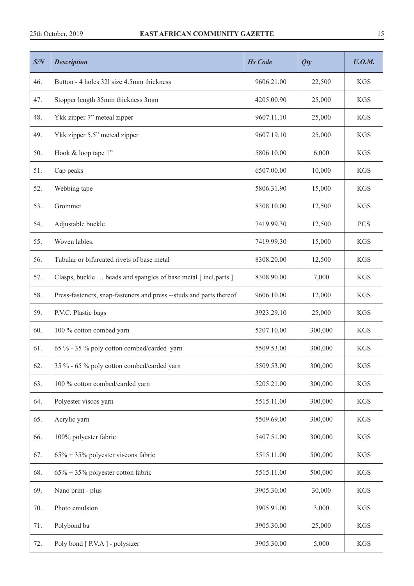| S/N | <b>Description</b>                                                  | <b>Hs Code</b> | Qty     | U.O.M.     |
|-----|---------------------------------------------------------------------|----------------|---------|------------|
| 46. | Button - 4 holes 321 size 4.5mm thickness                           | 9606.21.00     | 22,500  | <b>KGS</b> |
| 47. | Stopper length 35mm thickness 3mm                                   | 4205.00.90     | 25,000  | <b>KGS</b> |
| 48. | Ykk zipper 7" meteal zipper                                         | 9607.11.10     | 25,000  | <b>KGS</b> |
| 49. | Ykk zipper 5.5" meteal zipper                                       | 9607.19.10     | 25,000  | <b>KGS</b> |
| 50. | Hook & loop tape 1"                                                 | 5806.10.00     | 6,000   | <b>KGS</b> |
| 51. | Cap peaks                                                           | 6507.00.00     | 10,000  | <b>KGS</b> |
| 52. | Webbing tape                                                        | 5806.31.90     | 15,000  | <b>KGS</b> |
| 53. | Grommet                                                             | 8308.10.00     | 12,500  | <b>KGS</b> |
| 54. | Adjustable buckle                                                   | 7419.99.30     | 12,500  | <b>PCS</b> |
| 55. | Woven lables.                                                       | 7419.99.30     | 15,000  | <b>KGS</b> |
| 56. | Tubular or bifurcated rivets of base metal                          | 8308.20.00     | 12,500  | <b>KGS</b> |
| 57. | Clasps, buckle  beads and spangles of base metal [incl.parts ]      | 8308.90.00     | 7,000   | <b>KGS</b> |
| 58. | Press-fasteners, snap-fasteners and press --studs and parts thereof | 9606.10.00     | 12,000  | <b>KGS</b> |
| 59. | P.V.C. Plastic bags                                                 | 3923.29.10     | 25,000  | <b>KGS</b> |
| 60. | 100 % cotton combed yarn                                            | 5207.10.00     | 300,000 | <b>KGS</b> |
| 61. | 65 % - 35 % poly cotton combed/carded yarn                          | 5509.53.00     | 300,000 | <b>KGS</b> |
| 62. | 35 % - 65 % poly cotton combed/carded yarn                          | 5509.53.00     | 300,000 | <b>KGS</b> |
| 63. | 100 % cotton combed/carded yarn                                     | 5205.21.00     | 300,000 | <b>KGS</b> |
| 64. | Polyester viscos yarn                                               | 5515.11.00     | 300,000 | <b>KGS</b> |
| 65. | Acrylic yarn                                                        | 5509.69.00     | 300,000 | <b>KGS</b> |
| 66. | 100% polyester fabric                                               | 5407.51.00     | 300,000 | <b>KGS</b> |
| 67. | $65\% + 35\%$ polyester viscons fabric                              | 5515.11.00     | 500,000 | <b>KGS</b> |
| 68. | $65\% + 35\%$ polyester cotton fabric                               | 5515.11.00     | 500,000 | <b>KGS</b> |
| 69. | Nano print - plus                                                   | 3905.30.00     | 30,000  | <b>KGS</b> |
| 70. | Photo emulsion                                                      | 3905.91.00     | 3,000   | $\rm KGS$  |
| 71. | Polybond ba                                                         | 3905.30.00     | 25,000  | <b>KGS</b> |
| 72. | Poly bond [ P.V.A ] - polysizer                                     | 3905.30.00     | 5,000   | <b>KGS</b> |